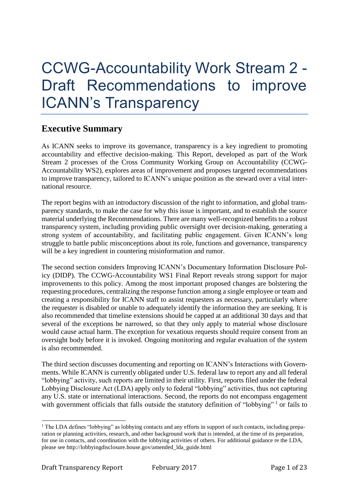# CCWG-Accountability Work Stream 2 - Draft Recommendations to improve ICANN's Transparency

### **Executive Summary**

As ICANN seeks to improve its governance, transparency is a key ingredient to promoting accountability and effective decision-making. This Report, developed as part of the Work Stream 2 processes of the Cross Community Working Group on Accountability (CCWG-Accountability WS2), explores areas of improvement and proposes targeted recommendations to improve transparency, tailored to ICANN's unique position as the steward over a vital international resource.

The report begins with an introductory discussion of the right to information, and global transparency standards, to make the case for why this issue is important, and to establish the source material underlying the Recommendations. There are many well-recognized benefits to a robust transparency system, including providing public oversight over decision-making, generating a strong system of accountability, and facilitating public engagement. Given ICANN's long struggle to battle public misconceptions about its role, functions and governance, transparency will be a key ingredient in countering misinformation and rumor.

The second section considers Improving ICANN's Documentary Information Disclosure Policy (DIDP). The CCWG-Accountability WS1 Final Report reveals strong support for major improvements to this policy. Among the most important proposed changes are bolstering the requesting procedures, centralizing the response function among a single employee or team and creating a responsibility for ICANN staff to assist requesters as necessary, particularly where the requester is disabled or unable to adequately identify the information they are seeking. It is also recommended that timeline extensions should be capped at an additional 30 days and that several of the exceptions be narrowed, so that they only apply to material whose disclosure would cause actual harm. The exception for vexatious requests should require consent from an oversight body before it is invoked. Ongoing monitoring and regular evaluation of the system is also recommended.

The third section discusses documenting and reporting on ICANN's Interactions with Governments. While ICANN is currently obligated under U.S. federal law to report any and all federal "lobbying" activity, such reports are limited in their utility. First, reports filed under the federal Lobbying Disclosure Act (LDA) apply only to federal "lobbying" activities, thus not capturing any U.S. state or international interactions. Second, the reports do not encompass engagement with government officials that falls outside the statutory definition of "lobbying"<sup>1</sup> or fails to

<sup>&</sup>lt;sup>1</sup> The LDA defines "lobbying" as lobbying contacts and any efforts in support of such contacts, including preparation or planning activities, research, and other background work that is intended, at the time of its preparation, for use in contacts, and coordination with the lobbying activities of others. For additional guidance re the LDA, please see http://lobbyingdisclosure.house.gov/amended\_lda\_guide.html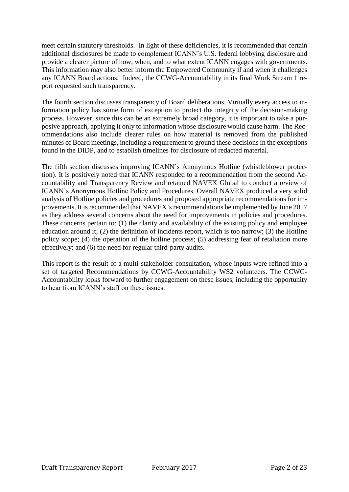meet certain statutory thresholds. In light of these deficiencies, it is recommended that certain additional disclosures be made to complement ICANN's U.S. federal lobbying disclosure and provide a clearer picture of how, when, and to what extent ICANN engages with governments. This information may also better inform the Empowered Community if and when it challenges any ICANN Board actions. Indeed, the CCWG-Accountability in its final Work Stream 1 report requested such transparency.

The fourth section discusses transparency of Board deliberations. Virtually every access to information policy has some form of exception to protect the integrity of the decision-making process. However, since this can be an extremely broad category, it is important to take a purposive approach, applying it only to information whose disclosure would cause harm. The Recommendations also include clearer rules on how material is removed from the published minutes of Board meetings, including a requirement to ground these decisions in the exceptions found in the DIDP, and to establish timelines for disclosure of redacted material.

The fifth section discusses improving ICANN's Anonymous Hotline (whistleblower protection). It is positively noted that ICANN responded to a recommendation from the second Accountability and Transparency Review and retained NAVEX Global to conduct a review of ICANN's Anonymous Hotline Policy and Procedures. Overall NAVEX produced a very solid analysis of Hotline policies and procedures and proposed appropriate recommendations for improvements. It is recommended that NAVEX's recommendations be implemented by June 2017 as they address several concerns about the need for improvements in policies and procedures. These concerns pertain to: (1) the clarity and availability of the existing policy and employee education around it; (2) the definition of incidents report, which is too narrow; (3) the Hotline policy scope; (4) the operation of the hotline process; (5) addressing fear of retaliation more effectively; and (6) the need for regular third-party audits.

This report is the result of a multi-stakeholder consultation, whose inputs were refined into a set of targeted Recommendations by CCWG-Accountability WS2 volunteers. The CCWG-Accountability looks forward to further engagement on these issues, including the opportunity to hear from ICANN's staff on these issues.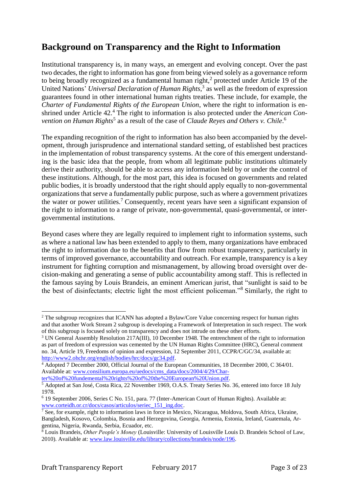### **Background on Transparency and the Right to Information**

Institutional transparency is, in many ways, an emergent and evolving concept. Over the past two decades, the right to information has gone from being viewed solely as a governance reform to being broadly recognized as a fundamental human right, $2$  protected under Article 19 of the United Nations' *Universal Declaration of Human Rights*, 3 as well as the freedom of expression guarantees found in other international human rights treaties. These include, for example, the *Charter of Fundamental Rights of the European Union*, where the right to information is enshrined under Article 42.<sup>4</sup> The right to information is also protected under the *American Con*vention on Human Rights<sup>5</sup> as a result of the case of *Claude Reyes and Others v. Chile*.<sup>6</sup>

The expanding recognition of the right to information has also been accompanied by the development, through jurisprudence and international standard setting, of established best practices in the implementation of robust transparency systems. At the core of this emergent understanding is the basic idea that the people, from whom all legitimate public institutions ultimately derive their authority, should be able to access any information held by or under the control of these institutions. Although, for the most part, this idea is focused on governments and related public bodies, it is broadly understood that the right should apply equally to non-governmental organizations that serve a fundamentally public purpose, such as where a government privatizes the water or power utilities.<sup>7</sup> Consequently, recent years have seen a significant expansion of the right to information to a range of private, non-governmental, quasi-governmental, or intergovernmental institutions.

Beyond cases where they are legally required to implement right to information systems, such as where a national law has been extended to apply to them, many organizations have embraced the right to information due to the benefits that flow from robust transparency, particularly in terms of improved governance, accountability and outreach. For example, transparency is a key instrument for fighting corruption and mismanagement, by allowing broad oversight over decision-making and generating a sense of public accountability among staff. This is reflected in the famous saying by Louis Brandeis, an eminent American jurist, that "sunlight is said to be the best of disinfectants; electric light the most efficient policeman."<sup>8</sup> Similarly, the right to

[ter%20of%20fundemental%20rights%20of%20the%20European%20Union.pdf.](http://www.consilium.europa.eu/uedocs/cms_data/docs/2004/4/29/Charter%20of%20fundemental%20rights%20of%20the%20European%20Union.pdf)

<sup>&</sup>lt;u>.</u> <sup>2</sup> The subgroup recognizes that ICANN has adopted a Bylaw/Core Value concerning respect for human rights and that another Work Stream 2 subgroup is developing a Framework of Interpretation in such respect. The work of this subgroup is focused solely on transparency and does not intrude on these other efforts.

<sup>&</sup>lt;sup>3</sup> UN General Assembly Resolution 217A(III), 10 December 1948. The entrenchment of the right to information as part of freedom of expression was cemented by the UN Human Rights Committee (HRC), General comment no. 34, Article 19, Freedoms of opinion and expression, 12 September 2011, CCPR/C/GC/34, available at: [http://www2.ohchr.org/english/bodies/hrc/docs/gc34.pdf.](http://www2.ohchr.org/english/bodies/hrc/docs/gc34.pdf)

<sup>4</sup> Adopted 7 December 2000, Official Journal of the European Communities, 18 December 2000, C 364/01. Available at: [www.consilium.europa.eu/uedocs/cms\\_data/docs/2004/4/29/Char-](http://www.consilium.europa.eu/uedocs/cms_data/docs/2004/4/29/Charter%20of%20fundemental%20rights%20of%20the%20European%20Union.pdf)

<sup>5</sup> Adopted at San José, Costa Rica, 22 November 1969, O.A.S. Treaty Series No. 36, entered into force 18 July 1978.

<sup>6</sup> 19 September 2006, Series C No. 151, para. 77 (Inter-American Court of Human Rights). Available at: [www.corteidh.or.cr/docs/casos/articulos/seriec\\_151\\_ing.doc.](http://www.corteidh.or.cr/docs/casos/articulos/seriec_151_ing.doc)

<sup>7</sup> See, for example, right to information laws in force in Mexico, Nicaragua, Moldova, South Africa, Ukraine, Bangladesh, Kosovo, Colombia, Bosnia and Herzegovina, Georgia, Armenia, Estonia, Ireland, Guatemala, Argentina, Nigeria, Rwanda, Serbia, Ecuador, etc.

<sup>8</sup> Louis Brandeis, *Other People's Money* (Louisville: University of Louisville Louis D. Brandeis School of Law, 2010). Available at: [www.law.louisville.edu/library/collections/brandeis/node/196.](http://www.law.louisville.edu/library/collections/brandeis/node/196)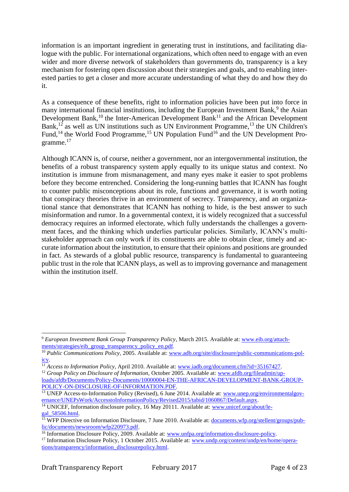information is an important ingredient in generating trust in institutions, and facilitating dialogue with the public. For international organizations, which often need to engage with an even wider and more diverse network of stakeholders than governments do, transparency is a key mechanism for fostering open discussion about their strategies and goals, and to enabling interested parties to get a closer and more accurate understanding of what they do and how they do it.

As a consequence of these benefits, right to information policies have been put into force in many international financial institutions, including the European Investment Bank,<sup>9</sup> the Asian Development Bank,<sup>10</sup> the Inter-American Development Bank<sup>11</sup> and the African Development Bank,<sup>12</sup> as well as UN institutions such as UN Environment Programme,<sup>13</sup> the UN Children's Fund,<sup>14</sup> the World Food Programme,<sup>15</sup> UN Population Fund<sup>16</sup> and the UN Development Programme. 17

Although ICANN is, of course, neither a government, nor an intergovernmental institution, the benefits of a robust transparency system apply equally to its unique status and context. No institution is immune from mismanagement, and many eyes make it easier to spot problems before they become entrenched. Considering the long-running battles that ICANN has fought to counter public misconceptions about its role, functions and governance, it is worth noting that conspiracy theories thrive in an environment of secrecy. Transparency, and an organizational stance that demonstrates that ICANN has nothing to hide, is the best answer to such misinformation and rumor. In a governmental context, it is widely recognized that a successful democracy requires an informed electorate, which fully understands the challenges a government faces, and the thinking which underlies particular policies. Similarly, ICANN's multistakeholder approach can only work if its constituents are able to obtain clear, timely and accurate information about the institution, to ensure that their opinions and positions are grounded in fact. As stewards of a global public resource, transparency is fundamental to guaranteeing public trust in the role that ICANN plays, as well as to improving governance and management within the institution itself.

<sup>9</sup> *European Investment Bank Group Transparency Policy*, March 2015. Available at: [www.eib.org/attach](http://www.eib.org/attachments/strategies/eib_group_transparency_policy_en.pdf)[ments/strategies/eib\\_group\\_transparency\\_policy\\_en.pdf.](http://www.eib.org/attachments/strategies/eib_group_transparency_policy_en.pdf)

<sup>10</sup> *Public Communications Policy,* 2005. Available at: [www.adb.org/site/disclosure/public-communications-pol](https://www.adb.org/site/disclosure/public-communications-policy)[icy.](https://www.adb.org/site/disclosure/public-communications-policy)

<sup>&</sup>lt;sup>11</sup> *Access to Information Policy*, April 2010. Available at: [www.iadb.org/document.cfm?id=35167427.](http://www.iadb.org/document.cfm?id=35167427)

<sup>&</sup>lt;sup>12</sup> *Group Policy on Disclosure of Information*, October 2005. Available at: [www.afdb.org/fileadmin/up](http://www.afdb.org/fileadmin/uploads/afdb/Documents/Policy-Documents/10000004-EN-THE-AFRICAN-DEVELOPMENT-BANK-GROUP-POLICY-ON-DISCLOSURE-OF-INFORMATION.PDF)[loads/afdb/Documents/Policy-Documents/10000004-EN-THE-AFRICAN-DEVELOPMENT-BANK-GROUP-](http://www.afdb.org/fileadmin/uploads/afdb/Documents/Policy-Documents/10000004-EN-THE-AFRICAN-DEVELOPMENT-BANK-GROUP-POLICY-ON-DISCLOSURE-OF-INFORMATION.PDF)[POLICY-ON-DISCLOSURE-OF-INFORMATION.PDF.](http://www.afdb.org/fileadmin/uploads/afdb/Documents/Policy-Documents/10000004-EN-THE-AFRICAN-DEVELOPMENT-BANK-GROUP-POLICY-ON-DISCLOSURE-OF-INFORMATION.PDF)

<sup>&</sup>lt;sup>13</sup> UNEP Access-to-Information Policy (Revised), 6 June 2014. Available at: [www.unep.org/environmentalgov](http://www.unep.org/environmentalgovernance/UNEPsWork/AccesstoInformationPolicy/Revised2015/tabid/1060867/Default.aspx)[ernance/UNEPsWork/AccesstoInformationPolicy/Revised2015/tabid/1060867/Default.aspx.](http://www.unep.org/environmentalgovernance/UNEPsWork/AccesstoInformationPolicy/Revised2015/tabid/1060867/Default.aspx)

<sup>&</sup>lt;sup>14</sup> UNICEF, Information disclosure policy, 16 May 20111. Available at: [www.unicef.org/about/le](http://www.unicef.org/about/legal_58506.html)[gal\\_58506.html.](http://www.unicef.org/about/legal_58506.html)

<sup>&</sup>lt;sup>15</sup> WFP Directive on Information Disclosure, 7 June 2010. Available at: [documents.wfp.org/stellent/groups/pub](http://www.documents.wfp.org/stellent/groups/public/documents/newsroom/wfp220973.pdf)[lic/documents/newsroom/wfp220973.pdf.](http://www.documents.wfp.org/stellent/groups/public/documents/newsroom/wfp220973.pdf)

<sup>&</sup>lt;sup>16</sup> Information Disclosure Policy, 2009. Available at: [www.unfpa.org/information-disclosure-policy.](http://www.unfpa.org/information-disclosure-policy)

<sup>&</sup>lt;sup>17</sup> Information Disclosure Policy, 1 October 2015. Available at: [www.undp.org/content/undp/en/home/opera](http://www.undp.org/content/undp/en/home/operations/transparency/information_disclosurepolicy.html)[tions/transparency/information\\_disclosurepolicy.html.](http://www.undp.org/content/undp/en/home/operations/transparency/information_disclosurepolicy.html)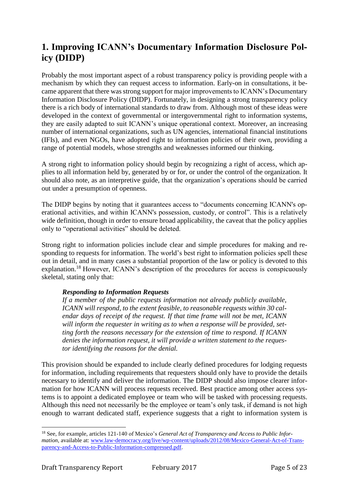# **1. Improving ICANN's Documentary Information Disclosure Policy (DIDP)**

Probably the most important aspect of a robust transparency policy is providing people with a mechanism by which they can request access to information. Early-on in consultations, it became apparent that there was strong support for major improvements to ICANN's Documentary Information Disclosure Policy (DIDP). Fortunately, in designing a strong transparency policy there is a rich body of international standards to draw from. Although most of these ideas were developed in the context of governmental or intergovernmental right to information systems, they are easily adapted to suit ICANN's unique operational context. Moreover, an increasing number of international organizations, such as UN agencies, international financial institutions (IFIs), and even NGOs, have adopted right to information policies of their own, providing a range of potential models, whose strengths and weaknesses informed our thinking.

A strong right to information policy should begin by recognizing a right of access, which applies to all information held by, generated by or for, or under the control of the organization. It should also note, as an interpretive guide, that the organization's operations should be carried out under a presumption of openness.

The DIDP begins by noting that it guarantees access to "documents concerning ICANN's operational activities, and within ICANN's possession, custody, or control". This is a relatively wide definition, though in order to ensure broad applicability, the caveat that the policy applies only to "operational activities" should be deleted.

Strong right to information policies include clear and simple procedures for making and responding to requests for information. The world's best right to information policies spell these out in detail, and in many cases a substantial proportion of the law or policy is devoted to this explanation.<sup>18</sup> However, ICANN's description of the procedures for access is conspicuously skeletal, stating only that:

#### *Responding to Information Requests*

*If a member of the public requests information not already publicly available, ICANN will respond, to the extent feasible, to reasonable requests within 30 calendar days of receipt of the request. If that time frame will not be met, ICANN will inform the requester in writing as to when a response will be provided, setting forth the reasons necessary for the extension of time to respond. If ICANN denies the information request, it will provide a written statement to the requestor identifying the reasons for the denial.*

This provision should be expanded to include clearly defined procedures for lodging requests for information, including requirements that requesters should only have to provide the details necessary to identify and deliver the information. The DIDP should also impose clearer information for how ICANN will process requests received. Best practice among other access systems is to appoint a dedicated employee or team who will be tasked with processing requests. Although this need not necessarily be the employee or team's only task, if demand is not high enough to warrant dedicated staff, experience suggests that a right to information system is

<sup>&</sup>lt;sup>18</sup> See, for example, articles 121-140 of Mexico's *General Act of Transparency and Access to Public Information*, available at: [www.law-democracy.org/live/wp-content/uploads/2012/08/Mexico-General-Act-of-Trans](http://www.law-democracy.org/live/wp-content/uploads/2012/08/Mexico-General-Act-of-Transparency-and-Access-to-Public-Information-compressed.pdf)[parency-and-Access-to-Public-Information-compressed.pdf.](http://www.law-democracy.org/live/wp-content/uploads/2012/08/Mexico-General-Act-of-Transparency-and-Access-to-Public-Information-compressed.pdf)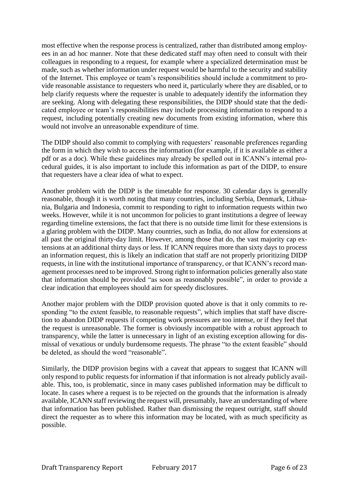most effective when the response process is centralized, rather than distributed among employees in an ad hoc manner. Note that these dedicated staff may often need to consult with their colleagues in responding to a request, for example where a specialized determination must be made, such as whether information under request would be harmful to the security and stability of the Internet. This employee or team's responsibilities should include a commitment to provide reasonable assistance to requesters who need it, particularly where they are disabled, or to help clarify requests where the requester is unable to adequately identify the information they are seeking. Along with delegating these responsibilities, the DIDP should state that the dedicated employee or team's responsibilities may include processing information to respond to a request, including potentially creating new documents from existing information, where this would not involve an unreasonable expenditure of time.

The DIDP should also commit to complying with requesters' reasonable preferences regarding the form in which they wish to access the information (for example, if it is available as either a pdf or as a doc). While these guidelines may already be spelled out in ICANN's internal procedural guides, it is also important to include this information as part of the DIDP, to ensure that requesters have a clear idea of what to expect.

Another problem with the DIDP is the timetable for response. 30 calendar days is generally reasonable, though it is worth noting that many countries, including Serbia, Denmark, Lithuania, Bulgaria and Indonesia, commit to responding to right to information requests within two weeks. However, while it is not uncommon for policies to grant institutions a degree of leeway regarding timeline extensions, the fact that there is no outside time limit for these extensions is a glaring problem with the DIDP. Many countries, such as India, do not allow for extensions at all past the original thirty-day limit. However, among those that do, the vast majority cap extensions at an additional thirty days or less. If ICANN requires more than sixty days to process an information request, this is likely an indication that staff are not properly prioritizing DIDP requests, in line with the institutional importance of transparency, or that ICANN's record management processes need to be improved. Strong right to information policies generally also state that information should be provided "as soon as reasonably possible", in order to provide a clear indication that employees should aim for speedy disclosures.

Another major problem with the DIDP provision quoted above is that it only commits to responding "to the extent feasible, to reasonable requests", which implies that staff have discretion to abandon DIDP requests if competing work pressures are too intense, or if they feel that the request is unreasonable. The former is obviously incompatible with a robust approach to transparency, while the latter is unnecessary in light of an existing exception allowing for dismissal of vexatious or unduly burdensome requests. The phrase "to the extent feasible" should be deleted, as should the word "reasonable".

Similarly, the DIDP provision begins with a caveat that appears to suggest that ICANN will only respond to public requests for information if that information is not already publicly available. This, too, is problematic, since in many cases published information may be difficult to locate. In cases where a request is to be rejected on the grounds that the information is already available, ICANN staff reviewing the request will, presumably, have an understanding of where that information has been published. Rather than dismissing the request outright, staff should direct the requester as to where this information may be located, with as much specificity as possible.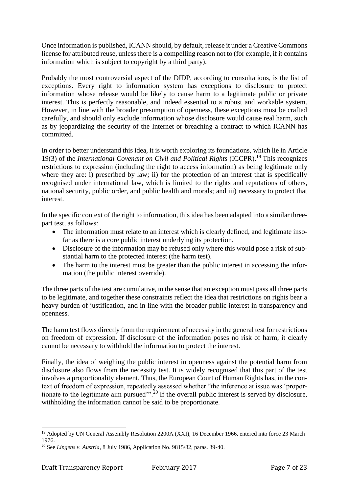Once information is published, ICANN should, by default, release it under a Creative Commons license for attributed reuse, unless there is a compelling reason not to (for example, if it contains information which is subject to copyright by a third party).

Probably the most controversial aspect of the DIDP, according to consultations, is the list of exceptions. Every right to information system has exceptions to disclosure to protect information whose release would be likely to cause harm to a legitimate public or private interest. This is perfectly reasonable, and indeed essential to a robust and workable system. However, in line with the broader presumption of openness, these exceptions must be crafted carefully, and should only exclude information whose disclosure would cause real harm, such as by jeopardizing the security of the Internet or breaching a contract to which ICANN has committed.

In order to better understand this idea, it is worth exploring its foundations, which lie in Article 19(3) of the *International Covenant on Civil and Political Rights* (ICCPR). <sup>19</sup> This recognizes restrictions to expression (including the right to access information) as being legitimate only where they are: i) prescribed by law; ii) for the protection of an interest that is specifically recognised under international law, which is limited to the rights and reputations of others, national security, public order, and public health and morals; and iii) necessary to protect that interest.

In the specific context of the right to information, this idea has been adapted into a similar threepart test, as follows:

- The information must relate to an interest which is clearly defined, and legitimate insofar as there is a core public interest underlying its protection.
- Disclosure of the information may be refused only where this would pose a risk of substantial harm to the protected interest (the harm test).
- The harm to the interest must be greater than the public interest in accessing the information (the public interest override).

The three parts of the test are cumulative, in the sense that an exception must pass all three parts to be legitimate, and together these constraints reflect the idea that restrictions on rights bear a heavy burden of justification, and in line with the broader public interest in transparency and openness.

The harm test flows directly from the requirement of necessity in the general test for restrictions on freedom of expression. If disclosure of the information poses no risk of harm, it clearly cannot be necessary to withhold the information to protect the interest.

Finally, the idea of weighing the public interest in openness against the potential harm from disclosure also flows from the necessity test. It is widely recognised that this part of the test involves a proportionality element. Thus, the European Court of Human Rights has, in the context of freedom of expression, repeatedly assessed whether "the inference at issue was 'proportionate to the legitimate aim pursued'".<sup>20</sup> If the overall public interest is served by disclosure, withholding the information cannot be said to be proportionate.

<sup>&</sup>lt;u>.</u> <sup>19</sup> Adopted by UN General Assembly Resolution 2200A (XXI), 16 December 1966, entered into force 23 March 1976.

<sup>20</sup> See *Lingens v. Austria*, 8 July 1986, Application No. 9815/82, paras. 39-40.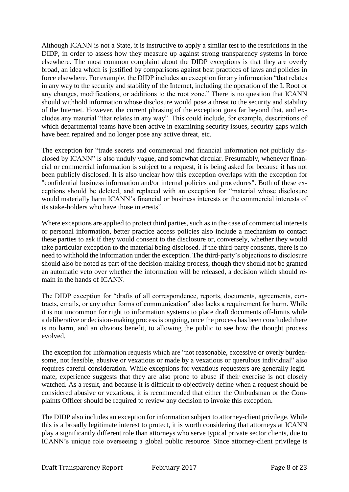Although ICANN is not a State, it is instructive to apply a similar test to the restrictions in the DIDP, in order to assess how they measure up against strong transparency systems in force elsewhere. The most common complaint about the DIDP exceptions is that they are overly broad, an idea which is justified by comparisons against best practices of laws and policies in force elsewhere. For example, the DIDP includes an exception for any information "that relates in any way to the security and stability of the Internet, including the operation of the L Root or any changes, modifications, or additions to the root zone." There is no question that ICANN should withhold information whose disclosure would pose a threat to the security and stability of the Internet. However, the current phrasing of the exception goes far beyond that, and excludes any material "that relates in any way". This could include, for example, descriptions of which departmental teams have been active in examining security issues, security gaps which have been repaired and no longer pose any active threat, etc.

The exception for "trade secrets and commercial and financial information not publicly disclosed by ICANN" is also unduly vague, and somewhat circular. Presumably, whenever financial or commercial information is subject to a request, it is being asked for because it has not been publicly disclosed. It is also unclear how this exception overlaps with the exception for "confidential business information and/or internal policies and procedures". Both of these exceptions should be deleted, and replaced with an exception for "material whose disclosure would materially harm ICANN's financial or business interests or the commercial interests of its stake-holders who have those interests".

Where exceptions are applied to protect third parties, such as in the case of commercial interests or personal information, better practice access policies also include a mechanism to contact these parties to ask if they would consent to the disclosure or, conversely, whether they would take particular exception to the material being disclosed. If the third-party consents, there is no need to withhold the information under the exception. The third-party's objections to disclosure should also be noted as part of the decision-making process, though they should not be granted an automatic veto over whether the information will be released, a decision which should remain in the hands of ICANN.

The DIDP exception for "drafts of all correspondence, reports, documents, agreements, contracts, emails, or any other forms of communication" also lacks a requirement for harm. While it is not uncommon for right to information systems to place draft documents off-limits while a deliberative or decision-making process is ongoing, once the process has been concluded there is no harm, and an obvious benefit, to allowing the public to see how the thought process evolved.

The exception for information requests which are "not reasonable, excessive or overly burdensome, not feasible, abusive or vexatious or made by a vexatious or querulous individual" also requires careful consideration. While exceptions for vexatious requesters are generally legitimate, experience suggests that they are also prone to abuse if their exercise is not closely watched. As a result, and because it is difficult to objectively define when a request should be considered abusive or vexatious, it is recommended that either the Ombudsman or the Complaints Officer should be required to review any decision to invoke this exception.

The DIDP also includes an exception for information subject to attorney-client privilege. While this is a broadly legitimate interest to protect, it is worth considering that attorneys at ICANN play a significantly different role than attorneys who serve typical private sector clients, due to ICANN's unique role overseeing a global public resource. Since attorney-client privilege is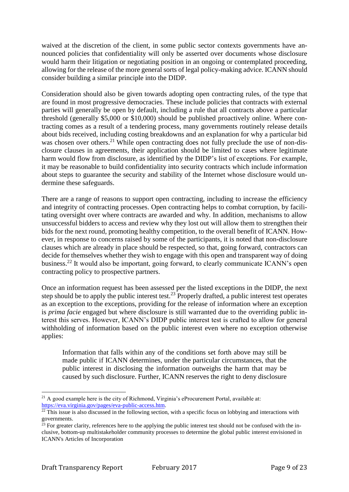waived at the discretion of the client, in some public sector contexts governments have announced policies that confidentiality will only be asserted over documents whose disclosure would harm their litigation or negotiating position in an ongoing or contemplated proceeding, allowing for the release of the more general sorts of legal policy-making advice. ICANN should consider building a similar principle into the DIDP.

Consideration should also be given towards adopting open contracting rules, of the type that are found in most progressive democracies. These include policies that contracts with external parties will generally be open by default, including a rule that all contracts above a particular threshold (generally \$5,000 or \$10,000) should be published proactively online. Where contracting comes as a result of a tendering process, many governments routinely release details about bids received, including costing breakdowns and an explanation for why a particular bid was chosen over others.<sup>21</sup> While open contracting does not fully preclude the use of non-disclosure clauses in agreements, their application should be limited to cases where legitimate harm would flow from disclosure, as identified by the DIDP's list of exceptions. For example, it may be reasonable to build confidentiality into security contracts which include information about steps to guarantee the security and stability of the Internet whose disclosure would undermine these safeguards.

There are a range of reasons to support open contracting, including to increase the efficiency and integrity of contracting processes. Open contracting helps to combat corruption, by facilitating oversight over where contracts are awarded and why. In addition, mechanisms to allow unsuccessful bidders to access and review why they lost out will allow them to strengthen their bids for the next round, promoting healthy competition, to the overall benefit of ICANN. However, in response to concerns raised by some of the participants, it is noted that non-disclosure clauses which are already in place should be respected, so that, going forward, contractors can decide for themselves whether they wish to engage with this open and transparent way of doing business.<sup>22</sup> It would also be important, going forward, to clearly communicate ICANN's open contracting policy to prospective partners.

Once an information request has been assessed per the listed exceptions in the DIDP, the next step should be to apply the public interest test.<sup>23</sup> Properly drafted, a public interest test operates as an exception to the exceptions, providing for the release of information where an exception is *prima facie* engaged but where disclosure is still warranted due to the overriding public interest this serves. However, ICANN's DIDP public interest test is crafted to allow for general withholding of information based on the public interest even where no exception otherwise applies:

Information that falls within any of the conditions set forth above may still be made public if ICANN determines, under the particular circumstances, that the public interest in disclosing the information outweighs the harm that may be caused by such disclosure. Further, ICANN reserves the right to deny disclosure

<sup>&</sup>lt;u>.</u> <sup>21</sup> A good example here is the city of Richmond, Virginia's eProcurement Portal, available at: [https://eva.virginia.gov/pages/eva-public-access.htm.](https://eva.virginia.gov/pages/eva-public-access.htm)

 $^{22}$  This issue is also discussed in the following section, with a specific focus on lobbying and interactions with governments.

 $^{23}$  For greater clarity, references here to the applying the public interest test should not be confused with the inclusive, bottom-up multistakeholder community processes to determine the global public interest envisioned in ICANN's Articles of Incorporation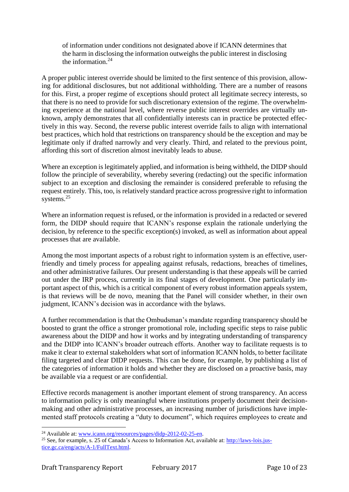of information under conditions not designated above if ICANN determines that the harm in disclosing the information outweighs the public interest in disclosing the information.<sup>24</sup>

A proper public interest override should be limited to the first sentence of this provision, allowing for additional disclosures, but not additional withholding. There are a number of reasons for this. First, a proper regime of exceptions should protect all legitimate secrecy interests, so that there is no need to provide for such discretionary extension of the regime. The overwhelming experience at the national level, where reverse public interest overrides are virtually unknown, amply demonstrates that all confidentially interests can in practice be protected effectively in this way. Second, the reverse public interest override fails to align with international best practices, which hold that restrictions on transparency should be the exception and may be legitimate only if drafted narrowly and very clearly. Third, and related to the previous point, affording this sort of discretion almost inevitably leads to abuse.

Where an exception is legitimately applied, and information is being withheld, the DIDP should follow the principle of severability, whereby severing (redacting) out the specific information subject to an exception and disclosing the remainder is considered preferable to refusing the request entirely. This, too, is relatively standard practice across progressive right to information systems.<sup>25</sup>

Where an information request is refused, or the information is provided in a redacted or severed form, the DIDP should require that ICANN's response explain the rationale underlying the decision, by reference to the specific exception(s) invoked, as well as information about appeal processes that are available.

Among the most important aspects of a robust right to information system is an effective, userfriendly and timely process for appealing against refusals, redactions, breaches of timelines, and other administrative failures. Our present understanding is that these appeals will be carried out under the IRP process, currently in its final stages of development. One particularly important aspect of this, which is a critical component of every robust information appeals system, is that reviews will be de novo, meaning that the Panel will consider whether, in their own judgment, ICANN's decision was in accordance with the bylaws.

A further recommendation is that the Ombudsman's mandate regarding transparency should be boosted to grant the office a stronger promotional role, including specific steps to raise public awareness about the DIDP and how it works and by integrating understanding of transparency and the DIDP into ICANN's broader outreach efforts. Another way to facilitate requests is to make it clear to external stakeholders what sort of information ICANN holds, to better facilitate filing targeted and clear DIDP requests. This can be done, for example, by publishing a list of the categories of information it holds and whether they are disclosed on a proactive basis, may be available via a request or are confidential.

Effective records management is another important element of strong transparency. An access to information policy is only meaningful where institutions properly document their decisionmaking and other administrative processes, an increasing number of jurisdictions have implemented staff protocols creating a "duty to document", which requires employees to create and

<sup>24</sup> Available at: [www.icann.org/resources/pages/didp-2012-02-25-en.](http://www.icann.org/resources/pages/didp-2012-02-25-en)

<sup>25</sup> See, for example, s. 25 of Canada's Access to Information Act, available at: [http://laws-lois.jus](http://laws-lois.justice.gc.ca/eng/acts/A-1/FullText.html)[tice.gc.ca/eng/acts/A-1/FullText.html.](http://laws-lois.justice.gc.ca/eng/acts/A-1/FullText.html)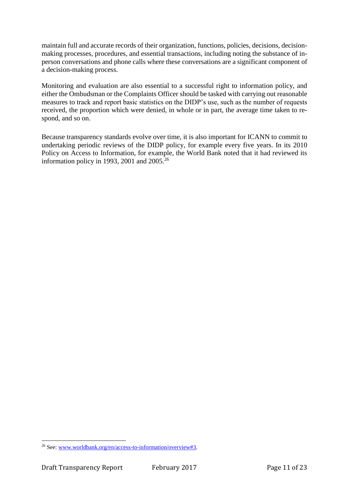maintain full and accurate records of their organization, functions, policies, decisions, decisionmaking processes, procedures, and essential transactions, including noting the substance of inperson conversations and phone calls where these conversations are a significant component of a decision-making process.

Monitoring and evaluation are also essential to a successful right to information policy, and either the Ombudsman or the Complaints Officer should be tasked with carrying out reasonable measures to track and report basic statistics on the DIDP's use, such as the number of requests received, the proportion which were denied, in whole or in part, the average time taken to respond, and so on.

Because transparency standards evolve over time, it is also important for ICANN to commit to undertaking periodic reviews of the DIDP policy, for example every five years. In its 2010 Policy on Access to Information, for example, the World Bank noted that it had reviewed its information policy in 1993, 2001 and  $2005$ <sup>26</sup>

<sup>&</sup>lt;sup>26</sup> See[: www.worldbank.org/en/access-to-information/overview#3.](http://www.worldbank.org/en/access-to-information/overview#3)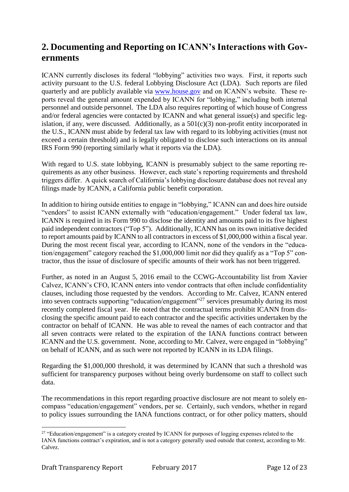## **2. Documenting and Reporting on ICANN's Interactions with Governments**

ICANN currently discloses its federal "lobbying" activities two ways. First, it reports such activity pursuant to the U.S. federal Lobbying Disclosure Act (LDA). Such reports are filed quarterly and are publicly available via [www.house.gov](http://www.house.gov/) and on ICANN's website. These reports reveal the general amount expended by ICANN for "lobbying," including both internal personnel and outside personnel. The LDA also requires reporting of which house of Congress and/or federal agencies were contacted by ICANN and what general issue(s) and specific legislation, if any, were discussed. Additionally, as a  $501(c)(3)$  non-profit entity incorporated in the U.S., ICANN must abide by federal tax law with regard to its lobbying activities (must not exceed a certain threshold) and is legally obligated to disclose such interactions on its annual IRS Form 990 (reporting similarly what it reports via the LDA).

With regard to U.S. state lobbying, ICANN is presumably subject to the same reporting requirements as any other business. However, each state's reporting requirements and threshold triggers differ. A quick search of California's lobbying disclosure database does not reveal any filings made by ICANN, a California public benefit corporation.

In addition to hiring outside entities to engage in "lobbying," ICANN can and does hire outside "vendors" to assist ICANN externally with "education/engagement." Under federal tax law, ICANN is required in its Form 990 to disclose the identity and amounts paid to its five highest paid independent contractors ("Top 5"). Additionally, ICANN has on its own initiative decided to report amounts paid by ICANN to all contractors in excess of \$1,000,000 within a fiscal year. During the most recent fiscal year, according to ICANN, none of the vendors in the "education/engagement" category reached the \$1,000,000 limit nor did they qualify as a "Top 5" contractor, thus the issue of disclosure of specific amounts of their work has not been triggered.

Further, as noted in an August 5, 2016 email to the CCWG-Accountability list from Xavier Calvez, ICANN's CFO, ICANN enters into vendor contracts that often include confidentiality clauses, including those requested by the vendors. According to Mr. Calvez, ICANN entered into seven contracts supporting "education/engagement"<sup>27</sup> services presumably during its most recently completed fiscal year. He noted that the contractual terms prohibit ICANN from disclosing the specific amount paid to each contractor and the specific activities undertaken by the contractor on behalf of ICANN. He was able to reveal the names of each contractor and that all seven contracts were related to the expiration of the IANA functions contract between ICANN and the U.S. government. None, according to Mr. Calvez, were engaged in "lobbying" on behalf of ICANN, and as such were not reported by ICANN in its LDA filings.

Regarding the \$1,000,000 threshold, it was determined by ICANN that such a threshold was sufficient for transparency purposes without being overly burdensome on staff to collect such data.

The recommendations in this report regarding proactive disclosure are not meant to solely encompass "education/engagement" vendors, per se. Certainly, such vendors, whether in regard to policy issues surrounding the IANA functions contract, or for other policy matters, should

<sup>&</sup>lt;sup>27</sup> "Education/engagement" is a category created by ICANN for purposes of logging expenses related to the IANA functions contract's expiration, and is not a category generally used outside that context, according to Mr. Calvez.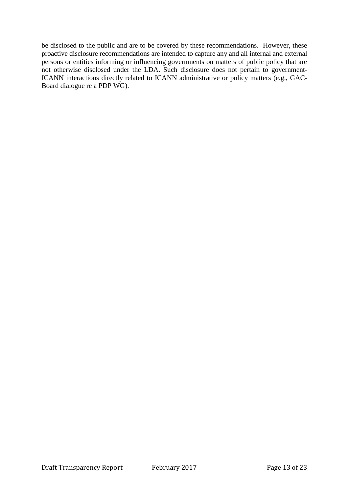be disclosed to the public and are to be covered by these recommendations. However, these proactive disclosure recommendations are intended to capture any and all internal and external persons or entities informing or influencing governments on matters of public policy that are not otherwise disclosed under the LDA. Such disclosure does not pertain to government-ICANN interactions directly related to ICANN administrative or policy matters (e.g., GAC-Board dialogue re a PDP WG).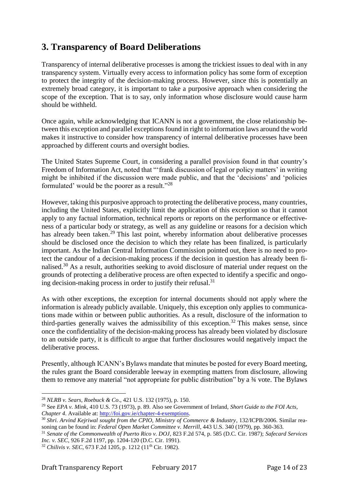### **3. Transparency of Board Deliberations**

Transparency of internal deliberative processes is among the trickiest issues to deal with in any transparency system. Virtually every access to information policy has some form of exception to protect the integrity of the decision-making process. However, since this is potentially an extremely broad category, it is important to take a purposive approach when considering the scope of the exception. That is to say, only information whose disclosure would cause harm should be withheld.

Once again, while acknowledging that ICANN is not a government, the close relationship between this exception and parallel exceptions found in right to information laws around the world makes it instructive to consider how transparency of internal deliberative processes have been approached by different courts and oversight bodies.

The United States Supreme Court, in considering a parallel provision found in that country's Freedom of Information Act, noted that "'frank discussion of legal or policy matters' in writing might be inhibited if the discussion were made public, and that the 'decisions' and 'policies formulated' would be the poorer as a result."<sup>28</sup>

However, taking this purposive approach to protecting the deliberative process, many countries, including the United States, explicitly limit the application of this exception so that it cannot apply to any factual information, technical reports or reports on the performance or effectiveness of a particular body or strategy, as well as any guideline or reasons for a decision which has already been taken.<sup>29</sup> This last point, whereby information about deliberative processes should be disclosed once the decision to which they relate has been finalized, is particularly important. As the Indian Central Information Commission pointed out, there is no need to protect the candour of a decision-making process if the decision in question has already been finalised.<sup>30</sup> As a result, authorities seeking to avoid disclosure of material under request on the grounds of protecting a deliberative process are often expected to identify a specific and ongoing decision-making process in order to justify their refusal. $31$ 

As with other exceptions, the exception for internal documents should not apply where the information is already publicly available. Uniquely, this exception only applies to communications made within or between public authorities. As a result, disclosure of the information to third-parties generally waives the admissibility of this exception.<sup>32</sup> This makes sense, since once the confidentiality of the decision-making process has already been violated by disclosure to an outside party, it is difficult to argue that further disclosures would negatively impact the deliberative process.

Presently, although ICANN's Bylaws mandate that minutes be posted for every Board meeting, the rules grant the Board considerable leeway in exempting matters from disclosure, allowing them to remove any material "not appropriate for public distribution" by a ¾ vote. The Bylaws

<sup>&</sup>lt;u>.</u> <sup>28</sup> *NLRB v. Sears, Roebuck & Co*., 421 U.S. 132 (1975), p. 150.

<sup>29</sup> See *EPA v. Mink*, 410 U.S. 73 (1973), p. 89. Also see Government of Ireland, *Short Guide to the FOI Acts, Chapter 4*. Available at: [http://foi.gov.ie/chapter-4-exemptions.](http://foi.gov.ie/chapter-4-exemptions)

<sup>&</sup>lt;sup>30</sup> Shri. Arvind Kejriwal sought from the CPIO, Ministry of Commerce & Industry, 132/ICPB/2006. Similar reasoning can be found in: *Federal Open Market Committee v. Merrill*, 443 U.S. 340 (1979), pp. 360-363.

<sup>31</sup> *Senate of the Commonwealth of Puerto Rico v. DOJ*, 823 F.2d 574, p. 585 (D.C. Cir. 1987); *Safecard Services Inc. v. SEC*, 926 F.2d 1197, pp. 1204-120 (D.C. Cir. 1991).

<sup>&</sup>lt;sup>32</sup> *Chilivis v. SEC*, 673 F.2d 1205, p. 1212 (11<sup>th</sup> Cir. 1982).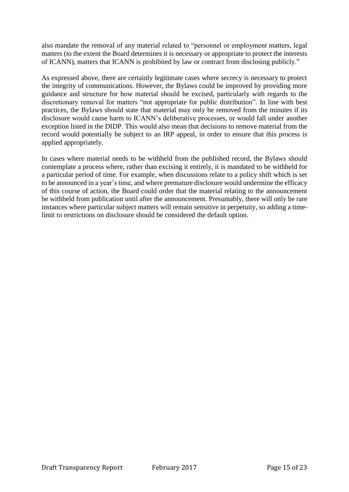also mandate the removal of any material related to "personnel or employment matters, legal matters (to the extent the Board determines it is necessary or appropriate to protect the interests of ICANN), matters that ICANN is prohibited by law or contract from disclosing publicly."

As expressed above, there are certainly legitimate cases where secrecy is necessary to protect the integrity of communications. However, the Bylaws could be improved by providing more guidance and structure for how material should be excised, particularly with regards to the discretionary removal for matters "not appropriate for public distribution". In line with best practices, the Bylaws should state that material may only be removed from the minutes if its disclosure would cause harm to ICANN's deliberative processes, or would fall under another exception listed in the DIDP. This would also mean that decisions to remove material from the record would potentially be subject to an IRP appeal, in order to ensure that this process is applied appropriately.

In cases where material needs to be withheld from the published record, the Bylaws should contemplate a process where, rather than excising it entirely, it is mandated to be withheld for a particular period of time. For example, when discussions relate to a policy shift which is set to be announced in a year's time, and where premature disclosure would undermine the efficacy of this course of action, the Board could order that the material relating to the announcement be withheld from publication until after the announcement. Presumably, there will only be rare instances where particular subject matters will remain sensitive in perpetuity, so adding a timelimit to restrictions on disclosure should be considered the default option.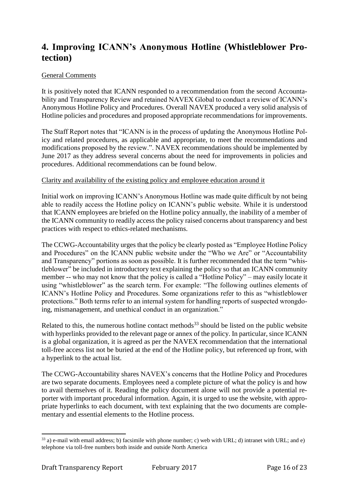### **4. Improving ICANN's Anonymous Hotline (Whistleblower Protection)**

#### General Comments

It is positively noted that ICANN responded to a recommendation from the second Accountability and Transparency Review and retained NAVEX Global to conduct a review of ICANN's Anonymous Hotline Policy and Procedures. Overall NAVEX produced a very solid analysis of Hotline policies and procedures and proposed appropriate recommendations for improvements.

The Staff Report notes that "ICANN is in the process of updating the Anonymous Hotline Policy and related procedures, as applicable and appropriate, to meet the recommendations and modifications proposed by the review.". NAVEX recommendations should be implemented by June 2017 as they address several concerns about the need for improvements in policies and procedures. Additional recommendations can be found below.

#### Clarity and availability of the existing policy and employee education around it

Initial work on improving ICANN's Anonymous Hotline was made quite difficult by not being able to readily access the Hotline policy on ICANN's public website. While it is understood that ICANN employees are briefed on the Hotline policy annually, the inability of a member of the ICANN community to readily access the policy raised concerns about transparency and best practices with respect to ethics-related mechanisms.

The CCWG-Accountability urges that the policy be clearly posted as "Employee Hotline Policy and Procedures" on the ICANN public website under the "Who we Are" or "Accountability and Transparency" portions as soon as possible. It is further recommended that the term "whistleblower" be included in introductory text explaining the policy so that an ICANN community member -- who may not know that the policy is called a "Hotline Policy" – may easily locate it using "whistleblower" as the search term. For example: "The following outlines elements of ICANN's Hotline Policy and Procedures. Some organizations refer to this as "whistleblower protections." Both terms refer to an internal system for handling reports of suspected wrongdoing, mismanagement, and unethical conduct in an organization."

Related to this, the numerous hotline contact methods<sup>33</sup> should be listed on the public website with hyperlinks provided to the relevant page or annex of the policy. In particular, since ICANN is a global organization, it is agreed as per the NAVEX recommendation that the international toll-free access list not be buried at the end of the Hotline policy, but referenced up front, with a hyperlink to the actual list.

The CCWG-Accountability shares NAVEX's concerns that the Hotline Policy and Procedures are two separate documents. Employees need a complete picture of what the policy is and how to avail themselves of it. Reading the policy document alone will not provide a potential reporter with important procedural information. Again, it is urged to use the website, with appropriate hyperlinks to each document, with text explaining that the two documents are complementary and essential elements to the Hotline process.

<sup>33</sup> a) e-mail with email address; b) facsimile with phone number; c) web with URL; d) intranet with URL; and e) telephone via toll-free numbers both inside and outside North America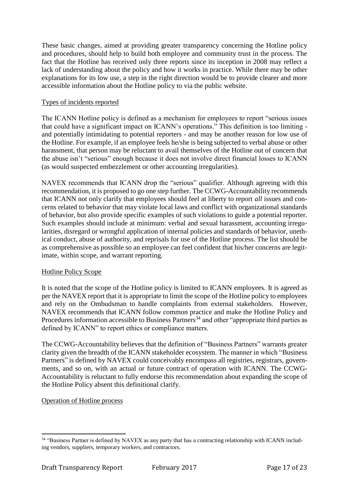These basic changes, aimed at providing greater transparency concerning the Hotline policy and procedures, should help to build both employee and community trust in the process. The fact that the Hotline has received only three reports since its inception in 2008 may reflect a lack of understanding about the policy and how it works in practice. While there may be other explanations for its low use, a step in the right direction would be to provide clearer and more accessible information about the Hotline policy to via the public website.

#### Types of incidents reported

The ICANN Hotline policy is defined as a mechanism for employees to report "serious issues that could have a significant impact on ICANN's operations." This definition is too limiting and potentially intimidating to potential reporters - and may be another reason for low use of the Hotline. For example, if an employee feels he/she is being subjected to verbal abuse or other harassment, that person may be reluctant to avail themselves of the Hotline out of concern that the abuse isn't "serious" enough because it does not involve direct financial losses to ICANN (as would suspected embezzlement or other accounting irregularities).

NAVEX recommends that ICANN drop the "serious" qualifier. Although agreeing with this recommendation, it is proposed to go one step further. The CCWG-Accountability recommends that ICANN not only clarify that employees should feel at liberty to report *all* issues and concerns related to behavior that may violate local laws and conflict with organizational standards of behavior, but also provide specific examples of such violations to guide a potential reporter. Such examples should include at minimum: verbal and sexual harassment, accounting irregularities, disregard or wrongful application of internal policies and standards of behavior, unethical conduct, abuse of authority, and reprisals for use of the Hotline process. The list should be as comprehensive as possible so an employee can feel confident that his/her concerns are legitimate, within scope, and warrant reporting.

#### Hotline Policy Scope

It is noted that the scope of the Hotline policy is limited to ICANN employees. It is agreed as per the NAVEX report that it is appropriate to limit the scope of the Hotline policy to employees and rely on the Ombudsman to handle complaints from external stakeholders. However, NAVEX recommends that ICANN follow common practice and make the Hotline Policy and Procedures information accessible to Business Partners<sup>34</sup> and other "appropriate third parties as defined by ICANN" to report ethics or compliance matters.

The CCWG-Accountability believes that the definition of "Business Partners" warrants greater clarity given the breadth of the ICANN stakeholder ecosystem. The manner in which "Business Partners" is defined by NAVEX could conceivably encompass all registries, registrars, governments, and so on, with an actual or future contract of operation with ICANN. The CCWG-Accountability is reluctant to fully endorse this recommendation about expanding the scope of the Hotline Policy absent this definitional clarify.

#### Operation of Hotline process

<sup>&</sup>lt;sup>34</sup> "Business Partner is defined by NAVEX as any party that has a contracting relationship with ICANN including vendors, suppliers, temporary workers, and contractors.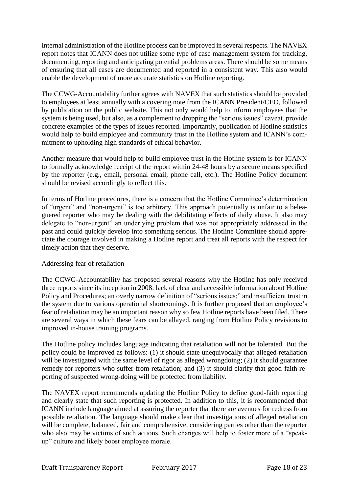Internal administration of the Hotline process can be improved in several respects. The NAVEX report notes that ICANN does not utilize some type of case management system for tracking, documenting, reporting and anticipating potential problems areas. There should be some means of ensuring that all cases are documented and reported in a consistent way. This also would enable the development of more accurate statistics on Hotline reporting.

The CCWG-Accountability further agrees with NAVEX that such statistics should be provided to employees at least annually with a covering note from the ICANN President/CEO, followed by publication on the public website. This not only would help to inform employees that the system is being used, but also, as a complement to dropping the "serious issues" caveat, provide concrete examples of the types of issues reported. Importantly, publication of Hotline statistics would help to build employee and community trust in the Hotline system and ICANN's commitment to upholding high standards of ethical behavior.

Another measure that would help to build employee trust in the Hotline system is for ICANN to formally acknowledge receipt of the report within 24-48 hours by a secure means specified by the reporter (e.g., email, personal email, phone call, etc.). The Hotline Policy document should be revised accordingly to reflect this.

In terms of Hotline procedures, there is a concern that the Hotline Committee's determination of "urgent" and "non-urgent" is too arbitrary. This approach potentially is unfair to a beleaguered reporter who may be dealing with the debilitating effects of daily abuse. It also may delegate to "non-urgent" an underlying problem that was not appropriately addressed in the past and could quickly develop into something serious. The Hotline Committee should appreciate the courage involved in making a Hotline report and treat all reports with the respect for timely action that they deserve.

#### Addressing fear of retaliation

The CCWG-Accountability has proposed several reasons why the Hotline has only received three reports since its inception in 2008: lack of clear and accessible information about Hotline Policy and Procedures; an overly narrow definition of "serious issues;" and insufficient trust in the system due to various operational shortcomings. It is further proposed that an employee's fear of retaliation may be an important reason why so few Hotline reports have been filed. There are several ways in which these fears can be allayed, ranging from Hotline Policy revisions to improved in-house training programs.

The Hotline policy includes language indicating that retaliation will not be tolerated. But the policy could be improved as follows: (1) it should state unequivocally that alleged retaliation will be investigated with the same level of rigor as alleged wrongdoing; (2) it should guarantee remedy for reporters who suffer from retaliation; and (3) it should clarify that good-faith reporting of suspected wrong-doing will be protected from liability.

The NAVEX report recommends updating the Hotline Policy to define good-faith reporting and clearly state that such reporting is protected. In addition to this, it is recommended that ICANN include language aimed at assuring the reporter that there are avenues for redress from possible retaliation. The language should make clear that investigations of alleged retaliation will be complete, balanced, fair and comprehensive, considering parties other than the reporter who also may be victims of such actions. Such changes will help to foster more of a "speakup" culture and likely boost employee morale.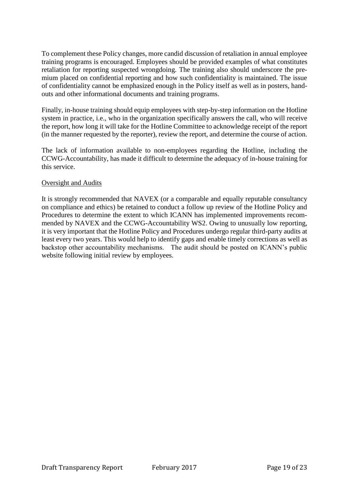To complement these Policy changes, more candid discussion of retaliation in annual employee training programs is encouraged. Employees should be provided examples of what constitutes retaliation for reporting suspected wrongdoing. The training also should underscore the premium placed on confidential reporting and how such confidentiality is maintained. The issue of confidentiality cannot be emphasized enough in the Policy itself as well as in posters, handouts and other informational documents and training programs.

Finally, in-house training should equip employees with step-by-step information on the Hotline system in practice, i.e., who in the organization specifically answers the call, who will receive the report, how long it will take for the Hotline Committee to acknowledge receipt of the report (in the manner requested by the reporter), review the report, and determine the course of action.

The lack of information available to non-employees regarding the Hotline, including the CCWG-Accountability, has made it difficult to determine the adequacy of in-house training for this service.

#### Oversight and Audits

It is strongly recommended that NAVEX (or a comparable and equally reputable consultancy on compliance and ethics) be retained to conduct a follow up review of the Hotline Policy and Procedures to determine the extent to which ICANN has implemented improvements recommended by NAVEX and the CCWG-Accountability WS2. Owing to unusually low reporting, it is very important that the Hotline Policy and Procedures undergo regular third-party audits at least every two years. This would help to identify gaps and enable timely corrections as well as backstop other accountability mechanisms. The audit should be posted on ICANN's public website following initial review by employees.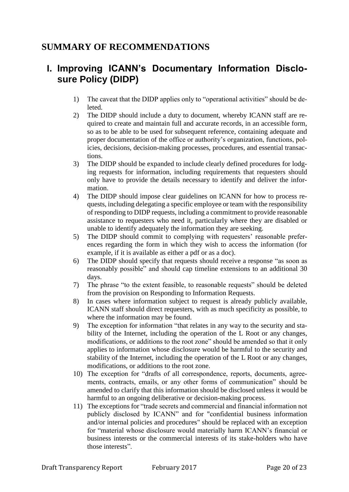### **SUMMARY OF RECOMMENDATIONS**

# **I. Improving ICANN's Documentary Information Disclosure Policy (DIDP)**

- 1) The caveat that the DIDP applies only to "operational activities" should be deleted.
- 2) The DIDP should include a duty to document, whereby ICANN staff are required to create and maintain full and accurate records, in an accessible form, so as to be able to be used for subsequent reference, containing adequate and proper documentation of the office or authority's organization, functions, policies, decisions, decision-making processes, procedures, and essential transactions.
- 3) The DIDP should be expanded to include clearly defined procedures for lodging requests for information, including requirements that requesters should only have to provide the details necessary to identify and deliver the information.
- 4) The DIDP should impose clear guidelines on ICANN for how to process requests, including delegating a specific employee or team with the responsibility of responding to DIDP requests, including a commitment to provide reasonable assistance to requesters who need it, particularly where they are disabled or unable to identify adequately the information they are seeking.
- 5) The DIDP should commit to complying with requesters' reasonable preferences regarding the form in which they wish to access the information (for example, if it is available as either a pdf or as a doc).
- 6) The DIDP should specify that requests should receive a response "as soon as reasonably possible" and should cap timeline extensions to an additional 30 days.
- 7) The phrase "to the extent feasible, to reasonable requests" should be deleted from the provision on Responding to Information Requests.
- 8) In cases where information subject to request is already publicly available, ICANN staff should direct requesters, with as much specificity as possible, to where the information may be found.
- 9) The exception for information "that relates in any way to the security and stability of the Internet, including the operation of the L Root or any changes, modifications, or additions to the root zone" should be amended so that it only applies to information whose disclosure would be harmful to the security and stability of the Internet, including the operation of the L Root or any changes, modifications, or additions to the root zone.
- 10) The exception for "drafts of all correspondence, reports, documents, agreements, contracts, emails, or any other forms of communication" should be amended to clarify that this information should be disclosed unless it would be harmful to an ongoing deliberative or decision-making process.
- 11) The exceptions for "trade secrets and commercial and financial information not publicly disclosed by ICANN" and for "confidential business information and/or internal policies and procedures" should be replaced with an exception for "material whose disclosure would materially harm ICANN's financial or business interests or the commercial interests of its stake-holders who have those interests".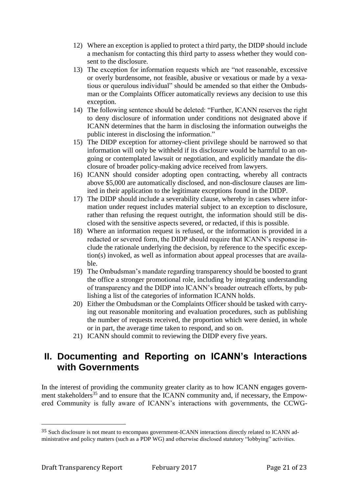- 12) Where an exception is applied to protect a third party, the DIDP should include a mechanism for contacting this third party to assess whether they would consent to the disclosure.
- 13) The exception for information requests which are "not reasonable, excessive or overly burdensome, not feasible, abusive or vexatious or made by a vexatious or querulous individual" should be amended so that either the Ombudsman or the Complaints Officer automatically reviews any decision to use this exception.
- 14) The following sentence should be deleted: "Further, ICANN reserves the right to deny disclosure of information under conditions not designated above if ICANN determines that the harm in disclosing the information outweighs the public interest in disclosing the information."
- 15) The DIDP exception for attorney-client privilege should be narrowed so that information will only be withheld if its disclosure would be harmful to an ongoing or contemplated lawsuit or negotiation, and explicitly mandate the disclosure of broader policy-making advice received from lawyers.
- 16) ICANN should consider adopting open contracting, whereby all contracts above \$5,000 are automatically disclosed, and non-disclosure clauses are limited in their application to the legitimate exceptions found in the DIDP.
- 17) The DIDP should include a severability clause, whereby in cases where information under request includes material subject to an exception to disclosure, rather than refusing the request outright, the information should still be disclosed with the sensitive aspects severed, or redacted, if this is possible.
- 18) Where an information request is refused, or the information is provided in a redacted or severed form, the DIDP should require that ICANN's response include the rationale underlying the decision, by reference to the specific exception(s) invoked, as well as information about appeal processes that are available.
- 19) The Ombudsman's mandate regarding transparency should be boosted to grant the office a stronger promotional role, including by integrating understanding of transparency and the DIDP into ICANN's broader outreach efforts, by publishing a list of the categories of information ICANN holds.
- 20) Either the Ombudsman or the Complaints Officer should be tasked with carrying out reasonable monitoring and evaluation procedures, such as publishing the number of requests received, the proportion which were denied, in whole or in part, the average time taken to respond, and so on.
- 21) ICANN should commit to reviewing the DIDP every five years.

# **II. Documenting and Reporting on ICANN's Interactions with Governments**

In the interest of providing the community greater clarity as to how ICANN engages government stakeholders<sup>35</sup> and to ensure that the ICANN community and, if necessary, the Empowered Community is fully aware of ICANN's interactions with governments, the CCWG-

 $\overline{a}$ 

<sup>&</sup>lt;sup>35</sup> Such disclosure is not meant to encompass government-ICANN interactions directly related to ICANN administrative and policy matters (such as a PDP WG) and otherwise disclosed statutory "lobbying" activities.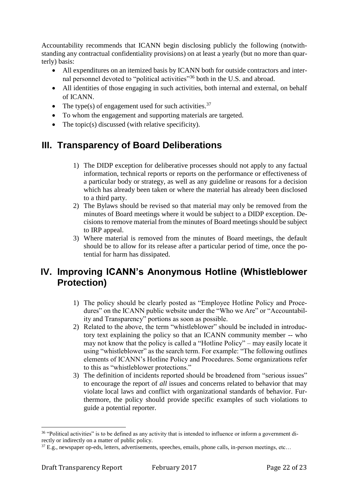Accountability recommends that ICANN begin disclosing publicly the following (notwithstanding any contractual confidentiality provisions) on at least a yearly (but no more than quarterly) basis:

- All expenditures on an itemized basis by ICANN both for outside contractors and internal personnel devoted to "political activities"<sup>36</sup> both in the U.S. and abroad.
- All identities of those engaging in such activities, both internal and external, on behalf of ICANN.
- The type(s) of engagement used for such activities.<sup>37</sup>
- To whom the engagement and supporting materials are targeted.
- The topic(s) discussed (with relative specificity).

# **III. Transparency of Board Deliberations**

- 1) The DIDP exception for deliberative processes should not apply to any factual information, technical reports or reports on the performance or effectiveness of a particular body or strategy, as well as any guideline or reasons for a decision which has already been taken or where the material has already been disclosed to a third party.
- 2) The Bylaws should be revised so that material may only be removed from the minutes of Board meetings where it would be subject to a DIDP exception. Decisions to remove material from the minutes of Board meetings should be subject to IRP appeal.
- 3) Where material is removed from the minutes of Board meetings, the default should be to allow for its release after a particular period of time, once the potential for harm has dissipated.

# **IV. Improving ICANN's Anonymous Hotline (Whistleblower Protection)**

- 1) The policy should be clearly posted as "Employee Hotline Policy and Procedures" on the ICANN public website under the "Who we Are" or "Accountability and Transparency" portions as soon as possible.
- 2) Related to the above, the term "whistleblower" should be included in introductory text explaining the policy so that an ICANN community member -- who may not know that the policy is called a "Hotline Policy" – may easily locate it using "whistleblower" as the search term. For example: "The following outlines elements of ICANN's Hotline Policy and Procedures. Some organizations refer to this as "whistleblower protections."
- 3) The definition of incidents reported should be broadened from "serious issues" to encourage the report of *all* issues and concerns related to behavior that may violate local laws and conflict with organizational standards of behavior. Furthermore, the policy should provide specific examples of such violations to guide a potential reporter.

 $\overline{a}$ 

<sup>&</sup>lt;sup>36</sup> "Political activities" is to be defined as any activity that is intended to influence or inform a government directly or indirectly on a matter of public policy.

 $37$  E.g., newspaper op-eds, letters, advertisements, speeches, emails, phone calls, in-person meetings, etc...